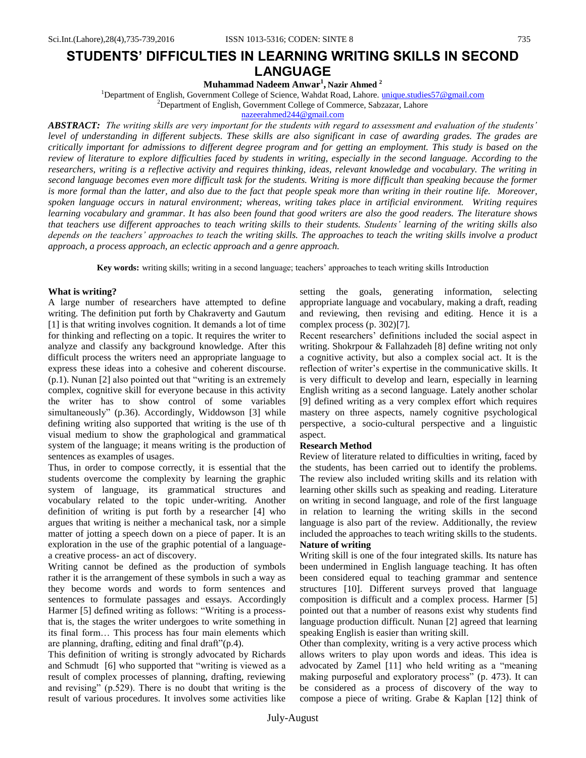**Muhammad Nadeem Anwar<sup>1</sup> , Nazir Ahmed <sup>2</sup>**

<sup>1</sup>Department of English, Government College of Science, Wahdat Road, Lahore. [unique.studies57@gmail.com](mailto:unique.studies57@gmail.com)

<sup>2</sup>Department of English, Government College of Commerce, Sabzazar, Lahore

[nazeerahmed244@gmail.com](mailto:nazeerahmed244@gmail.com)

*ABSTRACT: The writing skills are very important for the students with regard to assessment and evaluation of the students' level of understanding in different subjects. These skills are also significant in case of awarding grades. The grades are critically important for admissions to different degree program and for getting an employment. This study is based on the review of literature to explore difficulties faced by students in writing, especially in the second language. According to the researchers, writing is a reflective activity and requires thinking, ideas, relevant knowledge and vocabulary. The writing in second language becomes even more difficult task for the students. Writing is more difficult than speaking because the former is more formal than the latter, and also due to the fact that people speak more than writing in their routine life. Moreover, spoken language occurs in natural environment; whereas, writing takes place in artificial environment. Writing requires learning vocabulary and grammar. It has also been found that good writers are also the good readers. The literature shows that teachers use different approaches to teach writing skills to their students. Students' learning of the writing skills also depends on the teachers' approaches to teach the writing skills. The approaches to teach the writing skills involve a product approach, a process approach, an eclectic approach and a genre approach.*

**Key words:** writing skills; writing in a second language; teachers" approaches to teach writing skills Introduction

#### **What is writing?**

A large number of researchers have attempted to define writing. The definition put forth by Chakraverty and Gautum [1] is that writing involves cognition. It demands a lot of time for thinking and reflecting on a topic. It requires the writer to analyze and classify any background knowledge. After this difficult process the writers need an appropriate language to express these ideas into a cohesive and coherent discourse. (p.1). Nunan [2] also pointed out that "writing is an extremely complex, cognitive skill for everyone because in this activity the writer has to show control of some variables simultaneously" (p.36). Accordingly, Widdowson [3] while defining writing also supported that writing is the use of th visual medium to show the graphological and grammatical system of the language; it means writing is the production of sentences as examples of usages.

Thus, in order to compose correctly, it is essential that the students overcome the complexity by learning the graphic system of language, its grammatical structures and vocabulary related to the topic under-writing. Another definition of writing is put forth by a researcher [4] who argues that writing is neither a mechanical task, nor a simple matter of jotting a speech down on a piece of paper. It is an exploration in the use of the graphic potential of a languagea creative process- an act of discovery.

Writing cannot be defined as the production of symbols rather it is the arrangement of these symbols in such a way as they become words and words to form sentences and sentences to formulate passages and essays. Accordingly Harmer [5] defined writing as follows: "Writing is a processthat is, the stages the writer undergoes to write something in its final form… This process has four main elements which are planning, drafting, editing and final draft"(p.4).

This definition of writing is strongly advocated by Richards and Schmudt [6] who supported that "writing is viewed as a result of complex processes of planning, drafting, reviewing and revising" (p.529). There is no doubt that writing is the result of various procedures. It involves some activities like setting the goals, generating information, selecting appropriate language and vocabulary, making a draft, reading and reviewing, then revising and editing. Hence it is a complex process (p. 302)[7].

Recent researchers' definitions included the social aspect in writing. Shokrpour & Fallahzadeh [8] define writing not only a cognitive activity, but also a complex social act. It is the reflection of writer"s expertise in the communicative skills. It is very difficult to develop and learn, especially in learning English writing as a second language. Lately another scholar [9] defined writing as a very complex effort which requires mastery on three aspects, namely cognitive psychological perspective, a socio-cultural perspective and a linguistic aspect.

# **Research Method**

Review of literature related to difficulties in writing, faced by the students, has been carried out to identify the problems. The review also included writing skills and its relation with learning other skills such as speaking and reading. Literature on writing in second language, and role of the first language in relation to learning the writing skills in the second language is also part of the review. Additionally, the review included the approaches to teach writing skills to the students. **Nature of writing**

Writing skill is one of the four integrated skills. Its nature has been undermined in English language teaching. It has often been considered equal to teaching grammar and sentence structures [10]. Different surveys proved that language composition is difficult and a complex process. Harmer [5] pointed out that a number of reasons exist why students find language production difficult. Nunan [2] agreed that learning speaking English is easier than writing skill.

Other than complexity, writing is a very active process which allows writers to play upon words and ideas. This idea is advocated by Zamel [11] who held writing as a "meaning making purposeful and exploratory process" (p. 473). It can be considered as a process of discovery of the way to compose a piece of writing. Grabe & Kaplan [12] think of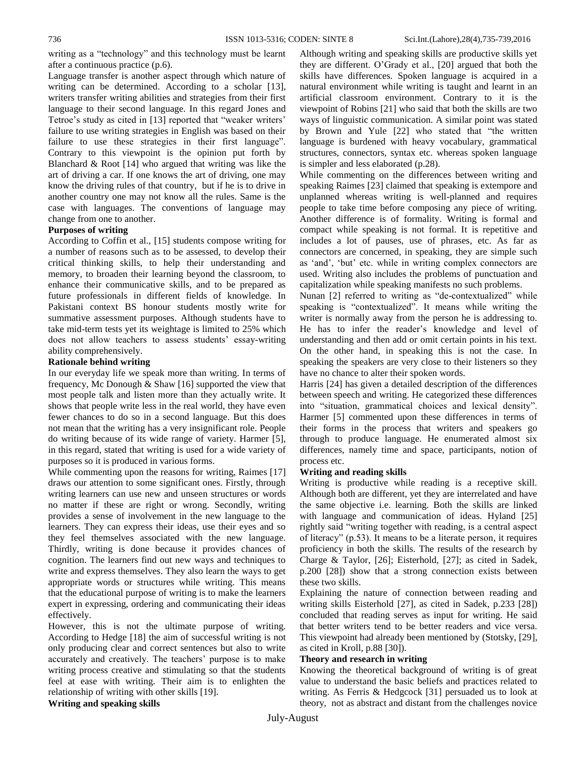writing as a "technology" and this technology must be learnt after a continuous practice (p.6).

Language transfer is another aspect through which nature of writing can be determined. According to a scholar [13], writers transfer writing abilities and strategies from their first language to their second language. In this regard Jones and Tetroe's study as cited in [13] reported that "weaker writers" failure to use writing strategies in English was based on their failure to use these strategies in their first language". Contrary to this viewpoint is the opinion put forth by Blanchard & Root [14] who argued that writing was like the art of driving a car. If one knows the art of driving, one may know the driving rules of that country, but if he is to drive in another country one may not know all the rules. Same is the case with languages. The conventions of language may change from one to another.

# **Purposes of writing**

According to Coffin et al., [15] students compose writing for a number of reasons such as to be assessed, to develop their critical thinking skills, to help their understanding and memory, to broaden their learning beyond the classroom, to enhance their communicative skills, and to be prepared as future professionals in different fields of knowledge. In Pakistani context BS honour students mostly write for summative assessment purposes. Although students have to take mid-term tests yet its weightage is limited to 25% which does not allow teachers to assess students' essay-writing ability comprehensively.

# **Rationale behind writing**

In our everyday life we speak more than writing. In terms of frequency, Mc Donough & Shaw [16] supported the view that most people talk and listen more than they actually write. It shows that people write less in the real world, they have even fewer chances to do so in a second language. But this does not mean that the writing has a very insignificant role. People do writing because of its wide range of variety. Harmer [5], in this regard, stated that writing is used for a wide variety of purposes so it is produced in various forms.

While commenting upon the reasons for writing, Raimes [17] draws our attention to some significant ones. Firstly, through writing learners can use new and unseen structures or words no matter if these are right or wrong. Secondly, writing provides a sense of involvement in the new language to the learners. They can express their ideas, use their eyes and so they feel themselves associated with the new language. Thirdly, writing is done because it provides chances of cognition. The learners find out new ways and techniques to write and express themselves. They also learn the ways to get appropriate words or structures while writing. This means that the educational purpose of writing is to make the learners expert in expressing, ordering and communicating their ideas effectively.

However, this is not the ultimate purpose of writing. According to Hedge [18] the aim of successful writing is not only producing clear and correct sentences but also to write accurately and creatively. The teachers' purpose is to make writing process creative and stimulating so that the students feel at ease with writing. Their aim is to enlighten the relationship of writing with other skills [19].

**Writing and speaking skills**

Although writing and speaking skills are productive skills yet they are different. O"Grady et al., [20] argued that both the skills have differences. Spoken language is acquired in a natural environment while writing is taught and learnt in an artificial classroom environment. Contrary to it is the viewpoint of Robins [21] who said that both the skills are two ways of linguistic communication. A similar point was stated by Brown and Yule [22] who stated that "the written language is burdened with heavy vocabulary, grammatical structures, connectors, syntax etc. whereas spoken language is simpler and less elaborated (p.28).

While commenting on the differences between writing and speaking Raimes [23] claimed that speaking is extempore and unplanned whereas writing is well-planned and requires people to take time before composing any piece of writing. Another difference is of formality. Writing is formal and compact while speaking is not formal. It is repetitive and includes a lot of pauses, use of phrases, etc. As far as connectors are concerned, in speaking, they are simple such as 'and', 'but' etc. while in writing complex connectors are used. Writing also includes the problems of punctuation and capitalization while speaking manifests no such problems.

Nunan [2] referred to writing as "de-contextualized" while speaking is "contextualized". It means while writing the writer is normally away from the person he is addressing to. He has to infer the reader"s knowledge and level of understanding and then add or omit certain points in his text. On the other hand, in speaking this is not the case. In speaking the speakers are very close to their listeners so they have no chance to alter their spoken words.

Harris [24] has given a detailed description of the differences between speech and writing. He categorized these differences into "situation, grammatical choices and lexical density". Harmer [5] commented upon these differences in terms of their forms in the process that writers and speakers go through to produce language. He enumerated almost six differences, namely time and space, participants, notion of process etc.

#### **Writing and reading skills**

Writing is productive while reading is a receptive skill. Although both are different, yet they are interrelated and have the same objective i.e. learning. Both the skills are linked with language and communication of ideas. Hyland [25] rightly said "writing together with reading, is a central aspect of literacy" (p.53). It means to be a literate person, it requires proficiency in both the skills. The results of the research by Charge & Taylor, [26]; Eisterhold, [27]; as cited in Sadek, p.200 [28]) show that a strong connection exists between these two skills.

Explaining the nature of connection between reading and writing skills Eisterhold [27], as cited in Sadek, p.233 [28]) concluded that reading serves as input for writing. He said that better writers tend to be better readers and vice versa. This viewpoint had already been mentioned by (Stotsky, [29], as cited in Kroll, p.88 [30]).

#### **Theory and research in writing**

Knowing the theoretical background of writing is of great value to understand the basic beliefs and practices related to writing. As Ferris & Hedgcock [31] persuaded us to look at theory, not as abstract and distant from the challenges novice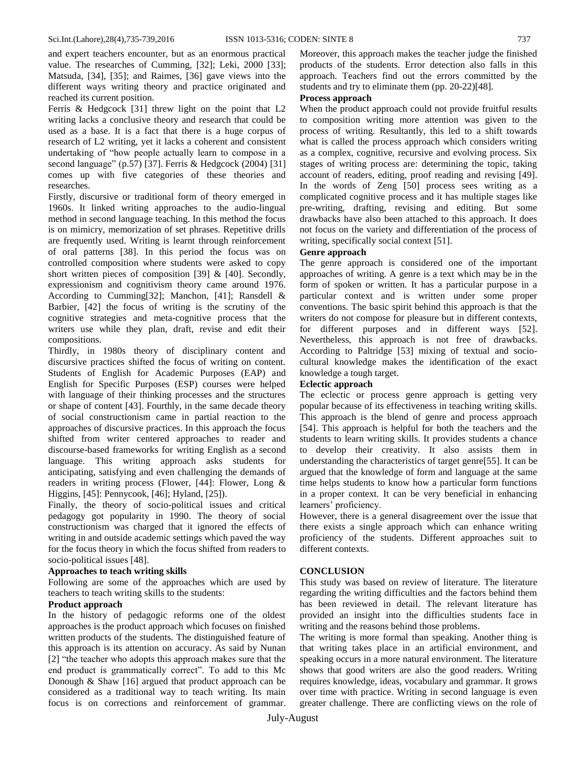and expert teachers encounter, but as an enormous practical value. The researches of Cumming, [32]; Leki, 2000 [33]; Matsuda, [34], [35]; and Raimes, [36] gave views into the different ways writing theory and practice originated and reached its current position.

Ferris & Hedgcock [31] threw light on the point that L2 writing lacks a conclusive theory and research that could be used as a base. It is a fact that there is a huge corpus of research of L2 writing, yet it lacks a coherent and consistent undertaking of "how people actually learn to compose in a second language" (p.57) [37]. Ferris & Hedgcock (2004) [31] comes up with five categories of these theories and researches.

Firstly, discursive or traditional form of theory emerged in 1960s. It linked writing approaches to the audio-lingual method in second language teaching. In this method the focus is on mimicry, memorization of set phrases. Repetitive drills are frequently used. Writing is learnt through reinforcement of oral patterns [38]. In this period the focus was on controlled composition where students were asked to copy short written pieces of composition [39] & [40]. Secondly, expressionism and cognitivism theory came around 1976. According to Cumming[32]; Manchon, [41]; Ransdell & Barbier, [42] the focus of writing is the scrutiny of the cognitive strategies and meta-cognitive process that the writers use while they plan, draft, revise and edit their compositions.

Thirdly, in 1980s theory of disciplinary content and discursive practices shifted the focus of writing on content. Students of English for Academic Purposes (EAP) and English for Specific Purposes (ESP) courses were helped with language of their thinking processes and the structures or shape of content [43]. Fourthly, in the same decade theory of social constructionism came in partial reaction to the approaches of discursive practices. In this approach the focus shifted from writer centered approaches to reader and discourse-based frameworks for writing English as a second language. This writing approach asks students for anticipating, satisfying and even challenging the demands of readers in writing process (Flower, [44]: Flower, Long & Higgins, [45]: Pennycook, [46]; Hyland, [25]).

Finally, the theory of socio-political issues and critical pedagogy got popularity in 1990. The theory of social constructionism was charged that it ignored the effects of writing in and outside academic settings which paved the way for the focus theory in which the focus shifted from readers to socio-political issues [48].

# **Approaches to teach writing skills**

Following are some of the approaches which are used by teachers to teach writing skills to the students:

# **Product approach**

In the history of pedagogic reforms one of the oldest approaches is the product approach which focuses on finished written products of the students. The distinguished feature of this approach is its attention on accuracy. As said by Nunan [2] "the teacher who adopts this approach makes sure that the end product is grammatically correct". To add to this Mc Donough & Shaw [16] argued that product approach can be considered as a traditional way to teach writing. Its main focus is on corrections and reinforcement of grammar.

Moreover, this approach makes the teacher judge the finished products of the students. Error detection also falls in this approach. Teachers find out the errors committed by the students and try to eliminate them (pp. 20-22)[48].

#### **Process approach**

When the product approach could not provide fruitful results to composition writing more attention was given to the process of writing. Resultantly, this led to a shift towards what is called the process approach which considers writing as a complex, cognitive, recursive and evolving process. Six stages of writing process are: determining the topic, taking account of readers, editing, proof reading and revising [49]. In the words of Zeng [50] process sees writing as a complicated cognitive process and it has multiple stages like pre-writing, drafting, revising and editing. But some drawbacks have also been attached to this approach. It does not focus on the variety and differentiation of the process of writing, specifically social context [51].

## **Genre approach**

The genre approach is considered one of the important approaches of writing. A genre is a text which may be in the form of spoken or written. It has a particular purpose in a particular context and is written under some proper conventions. The basic spirit behind this approach is that the writers do not compose for pleasure but in different contexts, for different purposes and in different ways [52]. Nevertheless, this approach is not free of drawbacks. According to Paltridge [53] mixing of textual and sociocultural knowledge makes the identification of the exact knowledge a tough target.

# **Eclectic approach**

The eclectic or process genre approach is getting very popular because of its effectiveness in teaching writing skills. This approach is the blend of genre and process approach [54]. This approach is helpful for both the teachers and the students to learn writing skills. It provides students a chance to develop their creativity. It also assists them in understanding the characteristics of target genre[55]. It can be argued that the knowledge of form and language at the same time helps students to know how a particular form functions in a proper context. It can be very beneficial in enhancing learners' proficiency.

However, there is a general disagreement over the issue that there exists a single approach which can enhance writing proficiency of the students. Different approaches suit to different contexts.

# **CONCLUSION**

This study was based on review of literature. The literature regarding the writing difficulties and the factors behind them has been reviewed in detail. The relevant literature has provided an insight into the difficulties students face in writing and the reasons behind those problems.

The writing is more formal than speaking. Another thing is that writing takes place in an artificial environment, and speaking occurs in a more natural environment. The literature shows that good writers are also the good readers. Writing requires knowledge, ideas, vocabulary and grammar. It grows over time with practice. Writing in second language is even greater challenge. There are conflicting views on the role of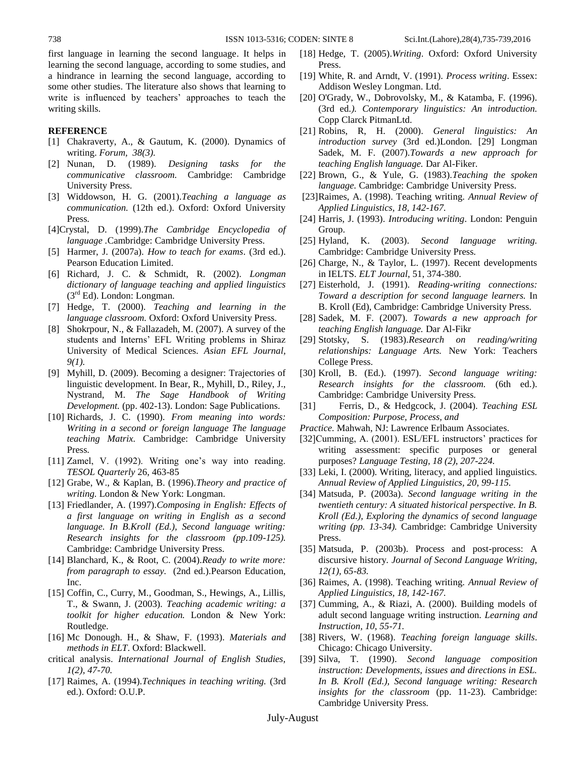first language in learning the second language. It helps in learning the second language, according to some studies, and a hindrance in learning the second language, according to some other studies. The literature also shows that learning to write is influenced by teachers' approaches to teach the writing skills.

## **REFERENCE**

- [1] Chakraverty, A., & Gautum, K. (2000). Dynamics of writing. *Forum, 38(3).*
- [2] Nunan, D. (1989). *Designing tasks for the communicative classroom.* Cambridge: Cambridge University Press.
- [3] Widdowson, H. G. (2001).*Teaching a language as communication.* (12th ed.). Oxford: Oxford University Press.
- [4]Crystal, D. (1999).*The Cambridge Encyclopedia of language .*Cambridge: Cambridge University Press.
- [5] Harmer, J. (2007a). *How to teach for exams*. (3rd ed.). Pearson Education Limited.
- [6] Richard, J. C. & Schmidt, R. (2002). *Longman dictionary of language teaching and applied linguistics*  $(3<sup>rd</sup> Ed)$ . London: Longman.
- [7] Hedge, T. (2000). *Teaching and learning in the language classroom.* Oxford: Oxford University Press.
- [8] Shokrpour, N., & Fallazadeh, M. (2007). A survey of the students and Interns" EFL Writing problems in Shiraz University of Medical Sciences. *Asian EFL Journal, 9(1).*
- [9] Myhill, D. (2009). Becoming a designer: Trajectories of linguistic development. In Bear, R., Myhill, D., Riley, J., Nystrand, M. *The Sage Handbook of Writing Development.* (pp. 402-13). London: Sage Publications.
- [10] Richards, J. C. (1990). *From meaning into words: Writing in a second or foreign language The language teaching Matrix.* Cambridge: Cambridge University Press.
- $[11]$  Zamel, V.  $(1992)$ . Writing one's way into reading. *TESOL Quarterly* 26, 463-85
- [12] Grabe, W., & Kaplan, B. (1996).*Theory and practice of writing.* London & New York: Longman.
- [13] Friedlander, A. (1997).*Composing in English: Effects of a first language on writing in English as a second language. In B.Kroll (Ed.), Second language writing: Research insights for the classroom (pp.109-125).* Cambridge: Cambridge University Press.
- [14] Blanchard, K., & Root, C. (2004).*Ready to write more: from paragraph to essay.* (2nd ed.). Pearson Education, Inc.
- [15] Coffin, C., Curry, M., Goodman, S., Hewings, A., Lillis, T., & Swann, J. (2003). *Teaching academic writing: a toolkit for higher education.* London & New York: Routledge.
- [16] Mc Donough. H., & Shaw, F. (1993). *Materials and methods in ELT*. Oxford: Blackwell.
- critical analysis. *International Journal of English Studies, 1(2), 47-70.*
- [17] Raimes, A. (1994).*Techniques in teaching writing.* (3rd ed.). Oxford: O.U.P.
- [18] Hedge, T. (2005).*Writing*. Oxford: Oxford University Press.
- [19] White, R. and Arndt, V. (1991). *Process writing*. Essex: Addison Wesley Longman. Ltd.
- [20] O'Grady, W., Dobrovolsky, M., & Katamba, F. (1996). (3rd ed*.). Contemporary linguistics: An introduction.* Copp Clarck PitmanLtd.
- [21] Robins, R, H. (2000). *General linguistics: An introduction survey* (3rd ed.)London. [29] Longman Sadek, M. F. (2007).*Towards a new approach for teaching English language.* Dar Al-Fiker.
- [22] Brown, G., & Yule, G. (1983).*Teaching the spoken language.* Cambridge: Cambridge University Press.
- [23]Raimes, A. (1998). Teaching writing. *Annual Review of Applied Linguistics, 18, 142-167.*
- [24] Harris, J. (1993). *Introducing writing*. London: Penguin Group.
- [25] Hyland, K. (2003). *Second language writing.* Cambridge: Cambridge University Press.
- [26] Charge, N., & Taylor, L. (1997). Recent developments in IELTS. *ELT Journal*, 51, 374-380.
- [27] Eisterhold, J. (1991). *Reading-writing connections: Toward a description for second language learners.* In B. Kroll (Ed), Cambridge: Cambridge University Press.
- [28] Sadek, M. F. (2007). *Towards a new approach for teaching English language.* Dar Al-Fikr
- [29] Stotsky, S. (1983).*Research on reading/writing relationships: Language Arts.* New York: Teachers College Press.
- [30] Kroll, B. (Ed.). (1997). *Second language writing: Research insights for the classroom.* (6th ed.). Cambridge: Cambridge University Press.
- [31] Ferris, D., & Hedgcock, J. (2004). *Teaching ESL Composition: Purpose, Process, and*
- *Practice.* Mahwah, NJ: Lawrence Erlbaum Associates.
- [32]Cumming, A. (2001). ESL/EFL instructors' practices for writing assessment: specific purposes or general purposes? *Language Testing, 18 (2), 207-224.*
- [33] Leki, I. (2000). Writing, literacy, and applied linguistics*. Annual Review of Applied Linguistics, 20, 99-115.*
- [34] Matsuda, P. (2003a). *Second language writing in the twentieth century: A situated historical perspective. In B. Kroll (Ed.), Exploring the dynamics of second language writing (pp. 13-34).* Cambridge: Cambridge University Press.
- [35] Matsuda, P. (2003b). Process and post-process: A discursive history*. Journal of Second Language Writing, 12(1), 65-83.*
- [36] Raimes, A. (1998). Teaching writing. *Annual Review of Applied Linguistics, 18, 142-167.*
- [37] Cumming, A., & Riazi, A. (2000). Building models of adult second language writing instruction. *Learning and Instruction, 10, 55-71.*
- [38] Rivers, W. (1968). *Teaching foreign language skills*. Chicago: Chicago University.
- [39] Silva, T. (1990). *Second language composition instruction: Developments, issues and directions in ESL. In B. Kroll (Ed.), Second language writing: Research insights for the classroom* (pp. 11-23). Cambridge: Cambridge University Press.